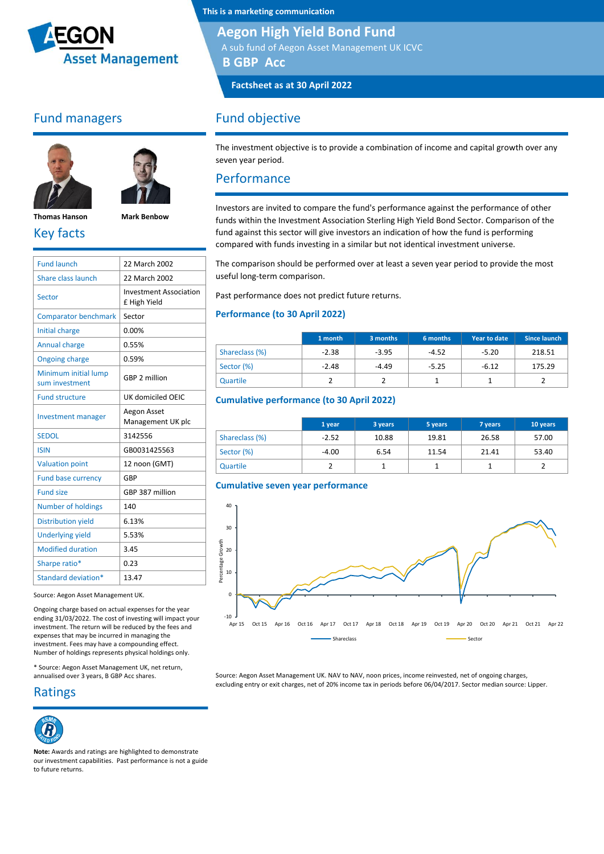

#### Fund managers





**Thomas Hanson Mark Benbow**

## Key facts

| <b>Fund launch</b>                     | 22 March 2002                                 |
|----------------------------------------|-----------------------------------------------|
| Share class launch                     | 22 March 2002                                 |
| Sector                                 | <b>Investment Association</b><br>£ High Yield |
| <b>Comparator benchmark</b>            | Sector                                        |
| Initial charge                         | 0.00%                                         |
| <b>Annual charge</b>                   | 0.55%                                         |
| <b>Ongoing charge</b>                  | 0.59%                                         |
| Minimum initial lump<br>sum investment | GBP 2 million                                 |
| <b>Fund structure</b>                  | UK domiciled OEIC                             |
| <b>Investment manager</b>              | Aegon Asset<br>Management UK plc              |
| <b>SEDOL</b>                           | 3142556                                       |
| <b>ISIN</b>                            | GB0031425563                                  |
| <b>Valuation point</b>                 | 12 noon (GMT)                                 |
| <b>Fund base currency</b>              | GBP                                           |
| <b>Fund size</b>                       | GBP 387 million                               |
| <b>Number of holdings</b>              | 140                                           |
| <b>Distribution yield</b>              | 6.13%                                         |
| <b>Underlying yield</b>                | 5.53%                                         |
| <b>Modified duration</b>               | 3.45                                          |
| Sharpe ratio*                          | 0.23                                          |
| Standard deviation*                    | 13.47                                         |

Source: Aegon Asset Management UK.

Ongoing charge based on actual expenses for the year ending 31/03/2022. The cost of investing will impact your investment. The return will be reduced by the fees and expenses that may be incurred in managing the investment. Fees may have a compounding effect. Number of holdings represents physical holdings only.

\* Source: Aegon Asset Management UK, net return, annualised over 3 years, B GBP Acc shares.

#### Ratings



**Note:** Awards and ratings are highlighted to demonstrate our investment capabilities. Past performance is not a guide to future returns.

**This is a marketing communication**

#### **Aegon High Yield Bond Fund**

A sub fund of Aegon Asset Management UK ICVC

**B GBP Acc**

**Factsheet as at 30 April 2022**

## Fund objective

The investment objective is to provide a combination of income and capital growth over any seven year period.

#### Performance

Investors are invited to compare the fund's performance against the performance of other funds within the Investment Association Sterling High Yield Bond Sector. Comparison of the fund against this sector will give investors an indication of how the fund is performing compared with funds investing in a similar but not identical investment universe.

The comparison should be performed over at least a seven year period to provide the most useful long-term comparison.

Past performance does not predict future returns.

#### **Performance (to 30 April 2022)**

|                | 1 month | 3 months | 6 months | Year to date | Since launch |
|----------------|---------|----------|----------|--------------|--------------|
| Shareclass (%) | $-2.38$ | $-3.95$  | $-4.52$  | $-5.20$      | 218.51       |
| Sector (%)     | $-2.48$ | $-4.49$  | $-5.25$  | $-6.12$      | 175.29       |
| Quartile       |         |          |          |              |              |

#### **Cumulative performance (to 30 April 2022)**

|                | 1 year  | 3 years | 5 years | 7 years | 10 years |
|----------------|---------|---------|---------|---------|----------|
| Shareclass (%) | $-2.52$ | 10.88   | 19.81   | 26.58   | 57.00    |
| Sector (%)     | $-4.00$ | 6.54    | 11.54   | 21.41   | 53.40    |
| Quartile       |         |         |         |         |          |

#### **Cumulative seven year performance**



Source: Aegon Asset Management UK. NAV to NAV, noon prices, income reinvested, net of ongoing charges, excluding entry or exit charges, net of 20% income tax in periods before 06/04/2017. Sector median source: Lipper.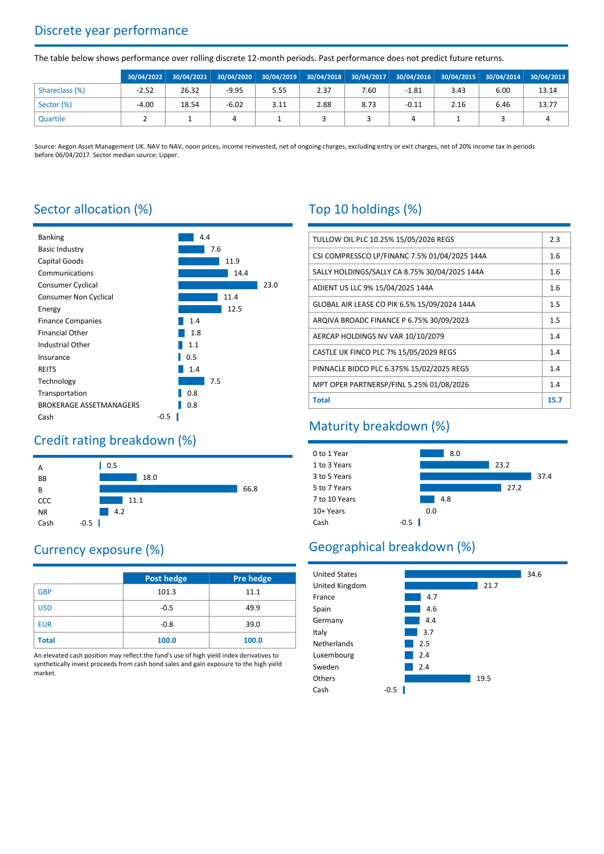# Discrete year performance

The table below shows performance over rolling discrete 12-month periods. Past performance does not predict future returns.

|                | 30/04/2022 | $30/04/2021$ 30/04/2020 |         |      |      | 30/04/2019 30/04/2018 30/04/2017 30/04/2016 30/04/2015 30/04/2014 30/04/2013 |         |      |      |       |
|----------------|------------|-------------------------|---------|------|------|------------------------------------------------------------------------------|---------|------|------|-------|
| Shareclass (%) | $-2.52$    | 26.32                   | $-9.95$ | 5.55 | 2.37 | 7.60                                                                         | $-1.81$ | 3.43 | 6.00 | 13.14 |
| Sector (%)     | $-4.00$    | 18.54                   | $-6.02$ | 3.11 | 2.88 | 8.73                                                                         | $-0.11$ | 2.16 | 6.46 | 13.77 |
| Quartile       |            |                         |         |      |      |                                                                              |         |      |      |       |

Source: Aegon Asset Management UK. NAV to NAV, noon prices, income reinvested, net of ongoing charges, excluding entry or exit charges, net of 20% income tax in periods before 06/04/2017. Sector median source: Lipper.

## Sector allocation (%)



### Credit rating breakdown (%)



# Currency exposure (%)

|              | <b>Post hedge</b> | <b>Pre hedge</b> |
|--------------|-------------------|------------------|
| <b>GBP</b>   | 101.3             | 11.1             |
| <b>USD</b>   | $-0.5$            | 49.9             |
| <b>EUR</b>   | $-0.8$            | 39.0             |
| <b>Total</b> | 100.0             | 100.0            |

An elevated cash position may reflect the fund's use of high yield index derivatives to synthetically invest proceeds from cash bond sales and gain exposure to the high yield market.

# Top 10 holdings (%)

| TULLOW OIL PLC 10.25% 15/05/2026 REGS         | 2.3  |
|-----------------------------------------------|------|
| CSI COMPRESSCO LP/FINANC 7.5% 01/04/2025 144A | 1.6  |
| SALLY HOLDINGS/SALLY CA 8.75% 30/04/2025 144A | 1.6  |
| ADIENT US LLC 9% 15/04/2025 144A              | 1.6  |
| GLOBAL AIR LEASE CO PIK 6.5% 15/09/2024 144A  | 1.5  |
| ARQIVA BROADC FINANCE P 6.75% 30/09/2023      | 1.5  |
| AERCAP HOLDINGS NV VAR 10/10/2079             | 1.4  |
| CASTLE UK FINCO PLC 7% 15/05/2029 REGS        | 1.4  |
| PINNACLE BIDCO PLC 6.375% 15/02/2025 REGS     | 1.4  |
| MPT OPER PARTNERSP/FINL 5.25% 01/08/2026      | 1.4  |
| <b>Total</b>                                  | 15.7 |

## Maturity breakdown (%)



# Geographical breakdown (%)